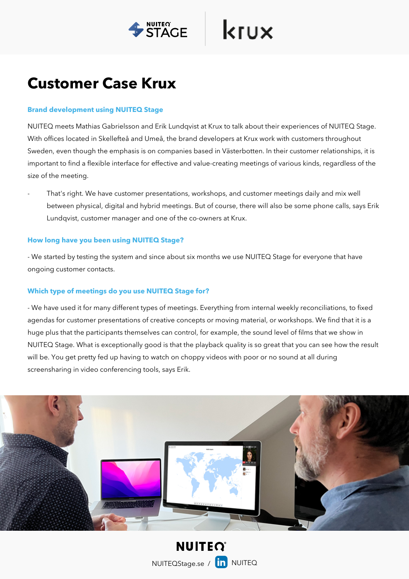

krux

# **Customer Case Krux**

### **Brand development using NUITEQ Stage**

NUITEQ meets Mathias Gabrielsson and Erik Lundqvist at Krux to talk about their experiences of NUITEQ Stage. With offices located in Skellefteå and Umeå, the brand developers at Krux work with customers throughout Sweden, even though the emphasis is on companies based in Västerbotten. In their customer relationships, it is important to find a flexible interface for effective and value-creating meetings of various kinds, regardless of the size of the meeting.

- That's right. We have customer presentations, workshops, and customer meetings daily and mix well between physical, digital and hybrid meetings. But of course, there will also be some phone calls, says Erik Lundqvist, customer manager and one of the co-owners at Krux.

## **How long have you been using NUITEQ Stage?**

- We started by testing the system and since about six months we use NUITEQ Stage for everyone that have ongoing customer contacts.

## **Which type of meetings do you use NUITEQ Stage for?**

- We have used it for many different types of meetings. Everything from internal weekly reconciliations, to fixed agendas for customer presentations of creative concepts or moving material, or workshops. We find that it is a huge plus that the participants themselves can control, for example, the sound level of films that we show in NUITEQ Stage. What is exceptionally good is that the playback quality is so great that you can see how the result will be. You get pretty fed up having to watch on choppy videos with poor or no sound at all during screensharing in video conferencing tools, says Erik.



**NUITEO** NUITEQStage.se / [in NUITEQ